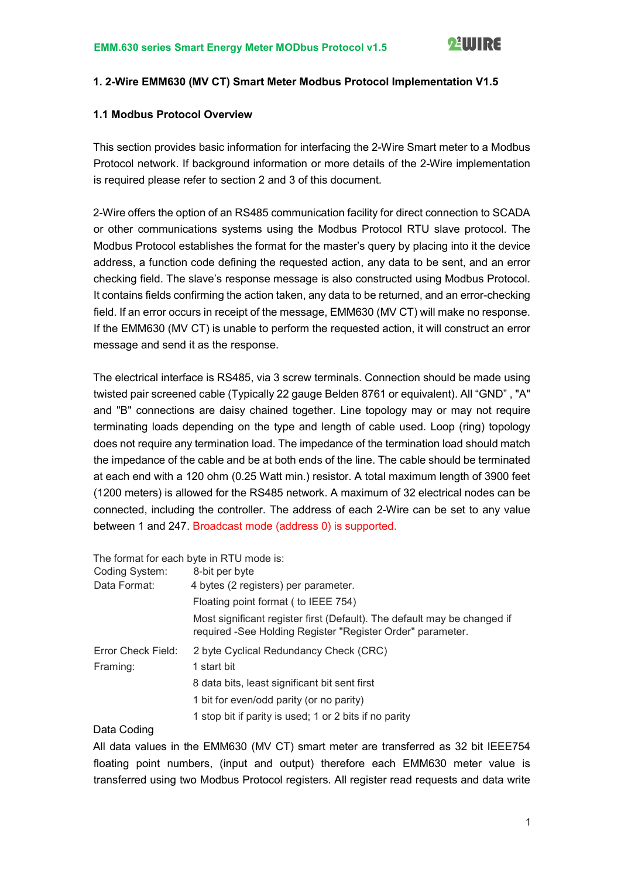#### 1. 2-Wire EMM630 (MV CT) Smart Meter Modbus Protocol Implementation V1.5

#### 1.1 Modbus Protocol Overview

This section provides basic information for interfacing the 2-Wire Smart meter to a Modbus Protocol network. If background information or more details of the 2-Wire implementation is required please refer to section 2 and 3 of this document.

2-Wire offers the option of an RS485 communication facility for direct connection to SCADA or other communications systems using the Modbus Protocol RTU slave protocol. The Modbus Protocol establishes the format for the master's query by placing into it the device address, a function code defining the requested action, any data to be sent, and an error checking field. The slave's response message is also constructed using Modbus Protocol. It contains fields confirming the action taken, any data to be returned, and an error-checking field. If an error occurs in receipt of the message, EMM630 (MV CT) will make no response. If the EMM630 (MV CT) is unable to perform the requested action, it will construct an error message and send it as the response.

The electrical interface is RS485, via 3 screw terminals. Connection should be made using twisted pair screened cable (Typically 22 gauge Belden 8761 or equivalent). All "GND" , "A" and "B" connections are daisy chained together. Line topology may or may not require terminating loads depending on the type and length of cable used. Loop (ring) topology does not require any termination load. The impedance of the termination load should match the impedance of the cable and be at both ends of the line. The cable should be terminated at each end with a 120 ohm (0.25 Watt min.) resistor. A total maximum length of 3900 feet (1200 meters) is allowed for the RS485 network. A maximum of 32 electrical nodes can be connected, including the controller. The address of each 2-Wire can be set to any value between 1 and 247. Broadcast mode (address 0) is supported.

The format for each byte in RTU mode is:

| Coding System:     | 8-bit per byte                                                                                                                         |
|--------------------|----------------------------------------------------------------------------------------------------------------------------------------|
| Data Format:       | 4 bytes (2 registers) per parameter.                                                                                                   |
|                    | Floating point format (to IEEE 754)                                                                                                    |
|                    | Most significant register first (Default). The default may be changed if<br>required -See Holding Register "Register Order" parameter. |
| Error Check Field: | 2 byte Cyclical Redundancy Check (CRC)                                                                                                 |
| Framing:           | 1 start bit                                                                                                                            |
|                    | 8 data bits, least significant bit sent first                                                                                          |
|                    | 1 bit for even/odd parity (or no parity)                                                                                               |
|                    | 1 stop bit if parity is used; 1 or 2 bits if no parity                                                                                 |

#### Data Coding

All data values in the EMM630 (MV CT) smart meter are transferred as 32 bit IEEE754 floating point numbers, (input and output) therefore each EMM630 meter value is transferred using two Modbus Protocol registers. All register read requests and data write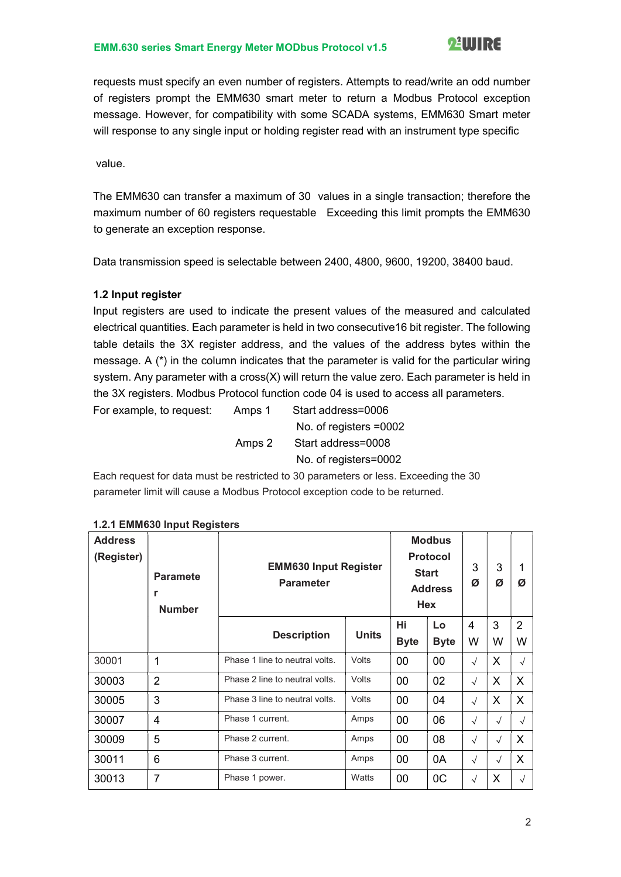requests must specify an even number of registers. Attempts to read/write an odd number of registers prompt the EMM630 smart meter to return a Modbus Protocol exception message. However, for compatibility with some SCADA systems, EMM630 Smart meter will response to any single input or holding register read with an instrument type specific

value.

The EMM630 can transfer a maximum of 30 values in a single transaction; therefore the maximum number of 60 registers requestable Exceeding this limit prompts the EMM630 to generate an exception response.

Data transmission speed is selectable between 2400, 4800, 9600, 19200, 38400 baud.

#### 1.2 Input register

Input registers are used to indicate the present values of the measured and calculated electrical quantities. Each parameter is held in two consecutive16 bit register. The following table details the 3X register address, and the values of the address bytes within the message. A  $(*)$  in the column indicates that the parameter is valid for the particular wiring system. Any parameter with a cross $(X)$  will return the value zero. Each parameter is held in the 3X registers. Modbus Protocol function code 04 is used to access all parameters.

For example, to request: Amps 1 Start address=0006 No. of registers =0002 Amps 2 Start address=0008 No. of registers=0002

Each request for data must be restricted to 30 parameters or less. Exceeding the 30 parameter limit will cause a Modbus Protocol exception code to be returned.

| <b>Address</b><br>(Register) | <b>Paramete</b><br>r<br><b>Number</b> | <b>EMM630 Input Register</b><br><b>Parameter</b> |              | <b>Modbus</b><br><b>Protocol</b><br><b>Start</b><br><b>Address</b><br><b>Hex</b> | 3<br>Ø            | 3<br>Ø     | 1<br>Ø     |                     |
|------------------------------|---------------------------------------|--------------------------------------------------|--------------|----------------------------------------------------------------------------------|-------------------|------------|------------|---------------------|
|                              |                                       | <b>Description</b>                               | <b>Units</b> | Hi<br><b>Byte</b>                                                                | Lo<br><b>Byte</b> | 4<br>W     | 3<br>W     | $\overline{2}$<br>W |
| 30001                        | $\mathbf 1$                           | Phase 1 line to neutral volts.                   | <b>Volts</b> | 00                                                                               | 00                | $\sqrt{ }$ | X          | $\sqrt{ }$          |
| 30003                        | $\overline{2}$                        | Phase 2 line to neutral volts.                   | Volts        | 00                                                                               | 02                | $\sqrt{ }$ | X          | X                   |
| 30005                        | 3                                     | Phase 3 line to neutral volts.                   | Volts        | 00                                                                               | 04                | $\sqrt{ }$ | X          | X                   |
| 30007                        | 4                                     | Phase 1 current.                                 | Amps         | 00                                                                               | 06                | $\sqrt{ }$ | $\sqrt{ }$ | $\sqrt{ }$          |
| 30009                        | 5                                     | Phase 2 current.                                 | Amps         | 00                                                                               | 08                | $\sqrt{ }$ | $\sqrt{ }$ | X                   |
| 30011                        | 6                                     | Phase 3 current.                                 | Amps         | 00                                                                               | 0A                | $\sqrt{ }$ | $\sqrt{ }$ | X                   |
| 30013                        | 7                                     | Phase 1 power.                                   | Watts        | 00                                                                               | 0C                | $\sqrt{ }$ | X          | $\sqrt{ }$          |

#### 1.2.1 EMM630 Input Registers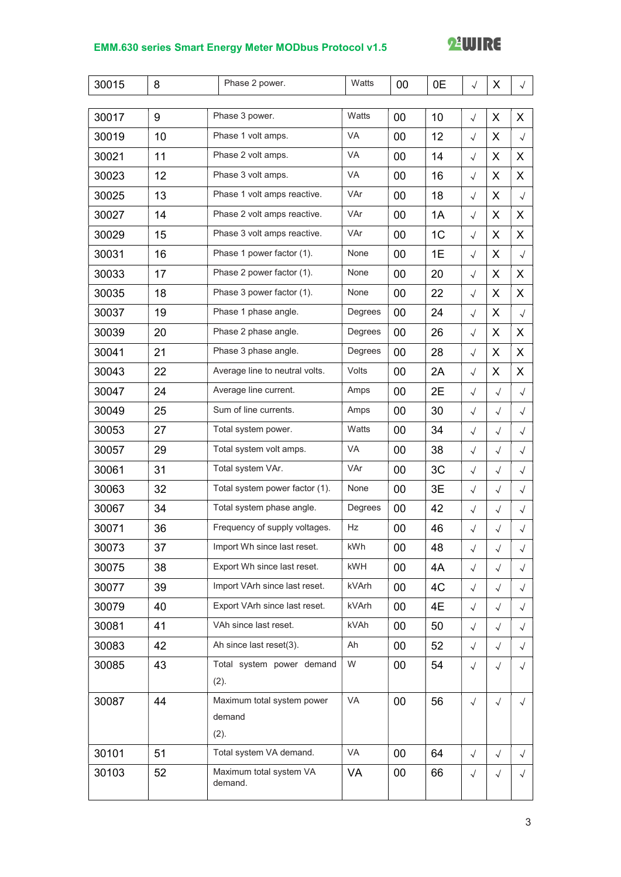# **22 WIRE**

| 30015 | 8  | Phase 2 power.                     | Watts     | 00     | 0E             | $\sqrt{ }$ | X          | $\sqrt{2}$ |
|-------|----|------------------------------------|-----------|--------|----------------|------------|------------|------------|
|       |    |                                    |           |        |                |            |            |            |
| 30017 | 9  | Phase 3 power.                     | Watts     | 00     | 10             | $\sqrt{ }$ | X          | X          |
| 30019 | 10 | Phase 1 volt amps.                 | VA        | 00     | 12             | $\sqrt{}$  | X          | $\sqrt{ }$ |
| 30021 | 11 | Phase 2 volt amps.                 | VA        | 00     | 14             | $\sqrt{}$  | X          | X.         |
| 30023 | 12 | Phase 3 volt amps.                 | <b>VA</b> | 00     | 16             | $\sqrt{}$  | X          | X          |
| 30025 | 13 | Phase 1 volt amps reactive.        | VAr       | 00     | 18             | $\sqrt{}$  | X          | $\sqrt{ }$ |
| 30027 | 14 | Phase 2 volt amps reactive.        | VAr       | 00     | 1A             | $\sqrt{}$  | X          | X          |
| 30029 | 15 | Phase 3 volt amps reactive.        | VAr       | 00     | 1 <sub>C</sub> | $\sqrt{}$  | X          | X          |
| 30031 | 16 | Phase 1 power factor (1).          | None      | 00     | 1E             | $\sqrt{}$  | X          | $\sqrt{ }$ |
| 30033 | 17 | Phase 2 power factor (1).          | None      | 00     | 20             | $\sqrt{}$  | X          | X          |
| 30035 | 18 | Phase 3 power factor (1).          | None      | 00     | 22             | $\sqrt{ }$ | X          | X          |
| 30037 | 19 | Phase 1 phase angle.               | Degrees   | 00     | 24             | $\sqrt{}$  | X          | $\sqrt{ }$ |
| 30039 | 20 | Phase 2 phase angle.               | Degrees   | 00     | 26             | $\sqrt{ }$ | X          | X          |
| 30041 | 21 | Phase 3 phase angle.               | Degrees   | 00     | 28             | $\sqrt{ }$ | X          | X          |
| 30043 | 22 | Average line to neutral volts.     | Volts     | 00     | 2A             | $\sqrt{ }$ | X          | X          |
| 30047 | 24 | Average line current.              | Amps      | 00     | 2E             | $\sqrt{}$  | $\sqrt{ }$ | $\sqrt{ }$ |
| 30049 | 25 | Sum of line currents.              | Amps      | 00     | 30             | $\sqrt{}$  | $\sqrt{ }$ | $\sqrt{ }$ |
| 30053 | 27 | Total system power.                | Watts     | 00     | 34             | $\sqrt{ }$ | $\sqrt{ }$ | $\sqrt{ }$ |
| 30057 | 29 | Total system volt amps.            | VA        | 00     | 38             | $\sqrt{}$  | $\sqrt{ }$ | $\sqrt{}$  |
| 30061 | 31 | Total system VAr.                  | VAr       | 00     | 3C             | $\sqrt{}$  | $\sqrt{ }$ | $\sqrt{ }$ |
| 30063 | 32 | Total system power factor (1).     | None      | 00     | 3E             | $\sqrt{ }$ | $\sqrt{ }$ | $\sqrt{ }$ |
| 30067 | 34 | Total system phase angle.          | Degrees   | 00     | 42             | $\sqrt{ }$ | $\sqrt{ }$ | $\sqrt{ }$ |
| 30071 | 36 | Frequency of supply voltages.      | Hz        | 00     | 46             | $\sqrt{}$  | $\sqrt{ }$ | $\sqrt{ }$ |
| 30073 | 37 | Import Wh since last reset.        | kWh       | 00     | 48             | $\sqrt{}$  | $\sqrt{ }$ | $\sqrt{ }$ |
| 30075 | 38 | Export Wh since last reset.        | kWH       | $00\,$ | 4A             | $\sqrt{ }$ | $\sqrt{ }$ | $\sqrt{ }$ |
| 30077 | 39 | Import VArh since last reset.      | kVArh     | $00\,$ | 4C             | $\sqrt{ }$ | $\sqrt{ }$ | $\sqrt{2}$ |
| 30079 | 40 | Export VArh since last reset.      | kVArh     | $00\,$ | 4E             | $\sqrt{ }$ | $\sqrt{}$  | $\sqrt{}$  |
| 30081 | 41 | VAh since last reset.              | kVAh      | 00     | 50             | $\sqrt{ }$ | $\sqrt{ }$ | $\sqrt{ }$ |
| 30083 | 42 | Ah since last reset(3).            | Ah        | 00     | 52             | $\sqrt{ }$ | $\sqrt{ }$ | $\sqrt{ }$ |
| 30085 | 43 | Total system power demand          | W         | $00\,$ | 54             | $\sqrt{}$  | $\sqrt{ }$ | $\sqrt{ }$ |
|       |    | (2).                               |           |        |                |            |            |            |
| 30087 | 44 | Maximum total system power         | VA        | 00     | 56             | $\sqrt{}$  | $\sqrt{ }$ | $\sqrt{ }$ |
|       |    | demand                             |           |        |                |            |            |            |
|       |    | (2).                               |           |        |                |            |            |            |
| 30101 | 51 | Total system VA demand.            | VA        | $00\,$ | 64             | $\sqrt{ }$ | $\sqrt{ }$ | $\sqrt{ }$ |
| 30103 | 52 | Maximum total system VA<br>demand. | VA        | 00     | 66             | $\sqrt{ }$ | $\sqrt{ }$ | $\sqrt{ }$ |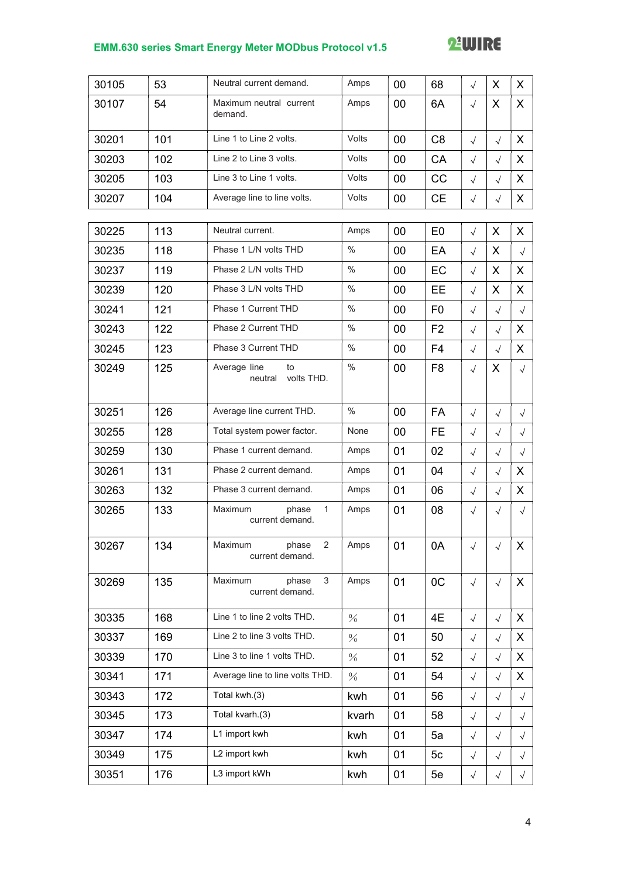# **22 WIRE**

| 30105 | 53  | Neutral current demand.                               | Amps          | 00 | 68             | $\sqrt{ }$ | X          | X          |
|-------|-----|-------------------------------------------------------|---------------|----|----------------|------------|------------|------------|
| 30107 | 54  | Maximum neutral current<br>demand.                    | Amps          | 00 | 6A             | $\sqrt{ }$ | X          | X          |
| 30201 | 101 | Line 1 to Line 2 volts.                               | Volts         | 00 | C <sub>8</sub> | $\sqrt{ }$ | $\sqrt{ }$ | X          |
| 30203 | 102 | Line 2 to Line 3 volts.                               | Volts         | 00 | CA             | $\sqrt{}$  | $\sqrt{ }$ | X          |
| 30205 | 103 | Line 3 to Line 1 volts.                               | Volts         | 00 | CC             | $\sqrt{ }$ | $\sqrt{ }$ | X          |
| 30207 | 104 | Average line to line volts.                           | Volts         | 00 | <b>CE</b>      | $\sqrt{}$  | $\sqrt{ }$ | X          |
| 30225 | 113 | Neutral current.                                      | Amps          | 00 | E <sub>0</sub> | $\sqrt{ }$ | X          | X          |
| 30235 | 118 | Phase 1 L/N volts THD                                 | $\frac{0}{0}$ | 00 | EA             | $\sqrt{}$  | X          | $\sqrt{ }$ |
| 30237 | 119 | Phase 2 L/N volts THD                                 | $\frac{0}{0}$ | 00 | EC             | $\sqrt{}$  | X          | X          |
| 30239 | 120 | Phase 3 L/N volts THD                                 | $\frac{0}{0}$ | 00 | EE             | $\sqrt{ }$ | X          | X          |
| 30241 | 121 | Phase 1 Current THD                                   | $\frac{0}{0}$ | 00 | F <sub>0</sub> | $\sqrt{}$  | $\sqrt{ }$ | $\sqrt{ }$ |
| 30243 | 122 | Phase 2 Current THD                                   | $\frac{0}{0}$ | 00 | F <sub>2</sub> | $\sqrt{}$  | $\sqrt{ }$ | X          |
| 30245 | 123 | Phase 3 Current THD                                   | $\frac{0}{0}$ | 00 | F <sub>4</sub> | $\sqrt{ }$ | $\sqrt{ }$ | X          |
| 30249 | 125 | Average line<br>to<br>volts THD.<br>neutral           | $\frac{0}{0}$ | 00 | F <sub>8</sub> | $\sqrt{ }$ | X          | $\sqrt{ }$ |
| 30251 | 126 | Average line current THD.                             | $\frac{0}{0}$ | 00 | <b>FA</b>      | $\sqrt{ }$ | $\sqrt{ }$ | $\sqrt{ }$ |
| 30255 | 128 | Total system power factor.                            | None          | 00 | FE.            | $\sqrt{}$  | $\sqrt{}$  | $\sqrt{}$  |
| 30259 | 130 | Phase 1 current demand.                               | Amps          | 01 | 02             | $\sqrt{}$  | $\sqrt{ }$ | $\sqrt{ }$ |
| 30261 | 131 | Phase 2 current demand.                               | Amps          | 01 | 04             | $\sqrt{}$  | $\sqrt{ }$ | X          |
| 30263 | 132 | Phase 3 current demand.                               | Amps          | 01 | 06             | $\sqrt{}$  | $\sqrt{ }$ | X          |
| 30265 | 133 | $\mathbf{1}$<br>Maximum<br>phase<br>current demand.   | Amps          | 01 | 08             | $\sqrt{ }$ | $\sqrt{}$  | $\sqrt{}$  |
| 30267 | 134 | $\overline{2}$<br>phase<br>Maximum<br>current demand. | Amps          | 01 | 0A             | $\sqrt{ }$ | $\sqrt{ }$ | X          |
| 30269 | 135 | Maximum<br>phase<br>3<br>current demand.              | Amps          | 01 | 0C             | $\sqrt{}$  | $\sqrt{ }$ | X          |
| 30335 | 168 | Line 1 to line 2 volts THD.                           | $\frac{0}{6}$ | 01 | 4E             | $\sqrt{}$  | $\sqrt{ }$ | X          |
| 30337 | 169 | Line 2 to line 3 volts THD.                           | $\frac{0}{0}$ | 01 | 50             | $\sqrt{ }$ | $\sqrt{ }$ | X          |
| 30339 | 170 | Line 3 to line 1 volts THD.                           | $\frac{0}{0}$ | 01 | 52             | $\sqrt{}$  | $\sqrt{ }$ | X          |
| 30341 | 171 | Average line to line volts THD.                       | $\frac{0}{0}$ | 01 | 54             | $\sqrt{}$  | $\sqrt{ }$ | X          |
| 30343 | 172 | Total kwh.(3)                                         | kwh           | 01 | 56             | $\sqrt{}$  | $\sqrt{ }$ | $\sqrt{ }$ |
| 30345 | 173 | Total kvarh.(3)                                       | kvarh         | 01 | 58             | $\sqrt{}$  | $\sqrt{ }$ | $\sqrt{ }$ |
| 30347 | 174 | L1 import kwh                                         | kwh           | 01 | 5a             | $\sqrt{}$  | $\sqrt{ }$ | $\sqrt{ }$ |
| 30349 | 175 | L2 import kwh                                         | kwh           | 01 | 5c             | $\sqrt{ }$ | $\sqrt{ }$ | $\sqrt{}$  |
| 30351 | 176 | L3 import kWh                                         | kwh           | 01 | 5e             | $\sqrt{ }$ | $\sqrt{ }$ | $\sqrt{2}$ |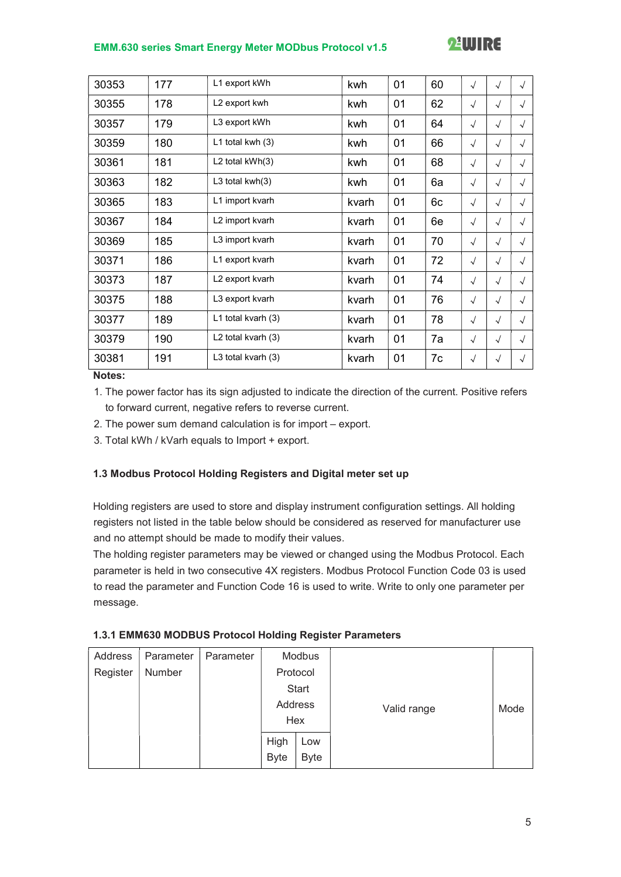# **22 WIRE**

| 30353 | 177 | L1 export kWh      | kwh   | 01 | 60 | $\sqrt{ }$ | $\sqrt{ }$ | $\sqrt{ }$ |
|-------|-----|--------------------|-------|----|----|------------|------------|------------|
| 30355 | 178 | L2 export kwh      | kwh   | 01 | 62 | $\sqrt{ }$ | $\sqrt{ }$ | $\sqrt{ }$ |
| 30357 | 179 | L3 export kWh      | kwh   | 01 | 64 | $\sqrt{ }$ | $\sqrt{ }$ | $\sqrt{ }$ |
| 30359 | 180 | L1 total kwh $(3)$ | kwh   | 01 | 66 | $\sqrt{ }$ | $\sqrt{ }$ | $\sqrt{ }$ |
| 30361 | 181 | L2 total kWh(3)    | kwh   | 01 | 68 | $\sqrt{ }$ | $\sqrt{ }$ | $\sqrt{ }$ |
| 30363 | 182 | L3 total kwh(3)    | kwh   | 01 | 6a | $\sqrt{ }$ | $\sqrt{ }$ | $\sqrt{ }$ |
| 30365 | 183 | L1 import kvarh    | kvarh | 01 | 6c | $\sqrt{ }$ | $\sqrt{ }$ | $\sqrt{ }$ |
| 30367 | 184 | L2 import kvarh    | kvarh | 01 | 6e | $\sqrt{ }$ | $\sqrt{ }$ | $\sqrt{ }$ |
| 30369 | 185 | L3 import kvarh    | kvarh | 01 | 70 | $\sqrt{ }$ | $\sqrt{ }$ | $\sqrt{ }$ |
| 30371 | 186 | L1 export kvarh    | kvarh | 01 | 72 | $\sqrt{ }$ | $\sqrt{ }$ | $\sqrt{ }$ |
| 30373 | 187 | L2 export kvarh    | kvarh | 01 | 74 | $\sqrt{ }$ | $\sqrt{ }$ | $\sqrt{ }$ |
| 30375 | 188 | L3 export kvarh    | kvarh | 01 | 76 | $\sqrt{ }$ | $\sqrt{ }$ | $\sqrt{ }$ |
| 30377 | 189 | L1 total kvarh (3) | kvarh | 01 | 78 | $\sqrt{ }$ | $\sqrt{ }$ | $\sqrt{ }$ |
| 30379 | 190 | L2 total kvarh (3) | kvarh | 01 | 7a | $\sqrt{ }$ | $\sqrt{ }$ | $\sqrt{ }$ |
| 30381 | 191 | L3 total kvarh (3) | kvarh | 01 | 7c | $\sqrt{ }$ | $\sqrt{ }$ | $\sqrt{ }$ |

Notes:

1. The power factor has its sign adjusted to indicate the direction of the current. Positive refers to forward current, negative refers to reverse current.

- 2. The power sum demand calculation is for import export.
- 3. Total kWh / kVarh equals to Import + export.

#### 1.3 Modbus Protocol Holding Registers and Digital meter set up

Holding registers are used to store and display instrument configuration settings. All holding registers not listed in the table below should be considered as reserved for manufacturer use and no attempt should be made to modify their values.

The holding register parameters may be viewed or changed using the Modbus Protocol. Each parameter is held in two consecutive 4X registers. Modbus Protocol Function Code 03 is used to read the parameter and Function Code 16 is used to write. Write to only one parameter per message.

| 1.3.1 EMM630 MODBUS Protocol Holding Register Parameters |  |
|----------------------------------------------------------|--|
|                                                          |  |

| Address  | Parameter | Parameter |             | Modbus      |             |      |
|----------|-----------|-----------|-------------|-------------|-------------|------|
| Register | Number    |           |             | Protocol    |             |      |
|          |           |           | Start       |             |             |      |
|          |           |           | Address     |             | Valid range | Mode |
|          |           |           | Hex         |             |             |      |
|          |           |           | High        | Low         |             |      |
|          |           |           | <b>Byte</b> | <b>Byte</b> |             |      |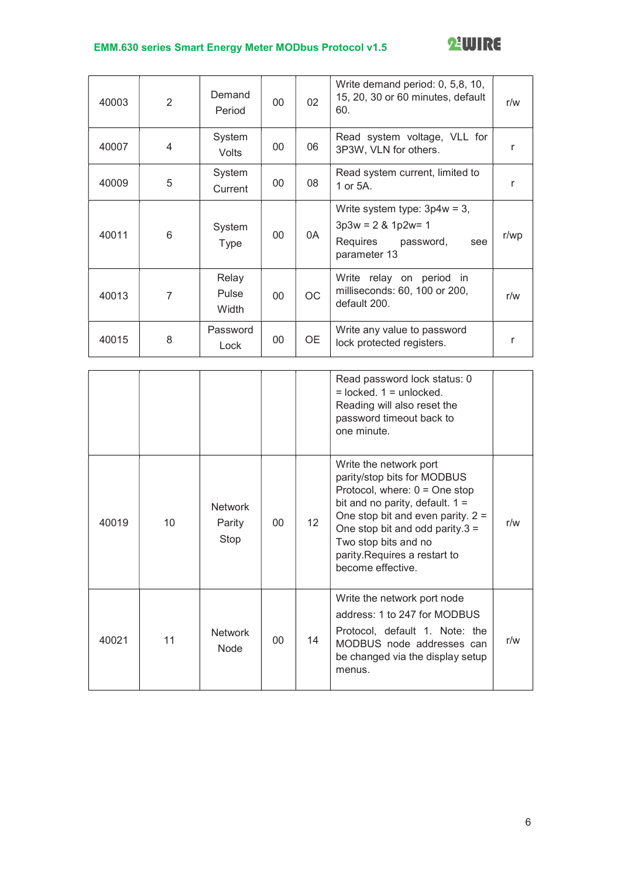

| 40003 | 2 | Demand<br>Period        | 00     | 02        | Write demand period: 0, 5,8, 10,<br>15, 20, 30 or 60 minutes, default<br>60.                          | r/w  |
|-------|---|-------------------------|--------|-----------|-------------------------------------------------------------------------------------------------------|------|
| 40007 | 4 | System<br><b>Volts</b>  | 00     | 06        | Read system voltage, VLL for<br>3P3W, VLN for others.                                                 | r    |
| 40009 | 5 | System<br>Current       | 00     | 08        | Read system current, limited to<br>1 or 5A.                                                           | r    |
| 40011 | 6 | System<br><b>Type</b>   | 00     | 0A        | Write system type: $3p4w = 3$ ,<br>$3p3w = 2 & 1p2w = 1$<br>Requires password,<br>see<br>parameter 13 | r/wp |
| 40013 | 7 | Relay<br>Pulse<br>Width | $00\,$ | <b>OC</b> | Write relay on period in<br>milliseconds: 60, 100 or 200,<br>default 200.                             | r/w  |
| 40015 | 8 | Password<br>Lock        | 00     | 0E        | Write any value to password<br>lock protected registers.                                              | r    |

|       |    |                                  |                 |                 | Read password lock status: 0<br>$=$ locked. $1 =$ unlocked.<br>Reading will also reset the<br>password timeout back to<br>one minute.                                                                                                                                                   |     |
|-------|----|----------------------------------|-----------------|-----------------|-----------------------------------------------------------------------------------------------------------------------------------------------------------------------------------------------------------------------------------------------------------------------------------------|-----|
| 40019 | 10 | <b>Network</b><br>Parity<br>Stop | $00 \,$         | 12 <sup>°</sup> | Write the network port<br>parity/stop bits for MODBUS<br>Protocol, where: $0 =$ One stop<br>bit and no parity, default. $1 =$<br>One stop bit and even parity. $2 =$<br>One stop bit and odd parity. $3 =$<br>Two stop bits and no<br>parity.Requires a restart to<br>become effective. | r/w |
| 40021 | 11 | <b>Network</b><br><b>Node</b>    | 00 <sup>1</sup> | 14              | Write the network port node<br>address: 1 to 247 for MODBUS<br>Protocol, default 1. Note: the<br>MODBUS node addresses can<br>be changed via the display setup<br>menus.                                                                                                                | r/w |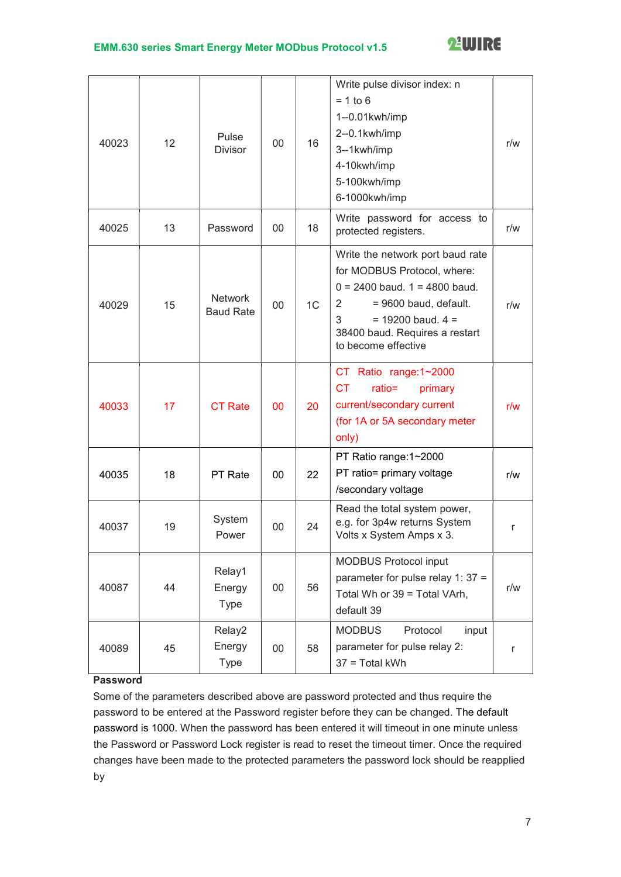

| 40023 | 12 | Pulse<br><b>Divisor</b>            | 00 | 16             | Write pulse divisor index: n<br>$= 1$ to 6<br>1--0.01kwh/imp<br>2--0.1kwh/imp<br>3--1kwh/imp<br>4-10kwh/imp<br>5-100kwh/imp<br>6-1000kwh/imp                                                                              | r/w |
|-------|----|------------------------------------|----|----------------|---------------------------------------------------------------------------------------------------------------------------------------------------------------------------------------------------------------------------|-----|
| 40025 | 13 | Password                           | 00 | 18             | Write password for access to<br>protected registers.                                                                                                                                                                      | r/w |
| 40029 | 15 | <b>Network</b><br><b>Baud Rate</b> | 00 | 1 <sup>C</sup> | Write the network port baud rate<br>for MODBUS Protocol, where:<br>$0 = 2400$ baud. $1 = 4800$ baud.<br>= 9600 baud, default.<br>2<br>3<br>$= 19200$ baud. $4 =$<br>38400 baud. Requires a restart<br>to become effective | r/w |
| 40033 | 17 | <b>CT Rate</b>                     | 00 | 20             | CT Ratio range:1~2000<br>ratio=<br>СT<br>primary<br>current/secondary current<br>(for 1A or 5A secondary meter<br>only)                                                                                                   | r/w |
| 40035 | 18 | PT Rate                            | 00 | 22             | PT Ratio range: 1~2000<br>PT ratio= primary voltage<br>/secondary voltage                                                                                                                                                 | r/w |
| 40037 | 19 | System<br>Power                    | 00 | 24             | Read the total system power,<br>e.g. for 3p4w returns System<br>Volts x System Amps x 3.                                                                                                                                  | r   |
| 40087 | 44 | Relay1<br>Energy<br>Type           | 00 | 56             | <b>MODBUS Protocol input</b><br>parameter for pulse relay 1: $37 =$<br>Total Wh or 39 = Total VArh,<br>default 39                                                                                                         | r/w |
| 40089 | 45 | Relay2<br>Energy<br><b>Type</b>    | 00 | 58             | <b>MODBUS</b><br>Protocol<br>input<br>parameter for pulse relay 2:<br>37 = Total kWh                                                                                                                                      | r   |

### Password

Some of the parameters described above are password protected and thus require the password to be entered at the Password register before they can be changed. The default password is 1000. When the password has been entered it will timeout in one minute unless the Password or Password Lock register is read to reset the timeout timer. Once the required changes have been made to the protected parameters the password lock should be reapplied by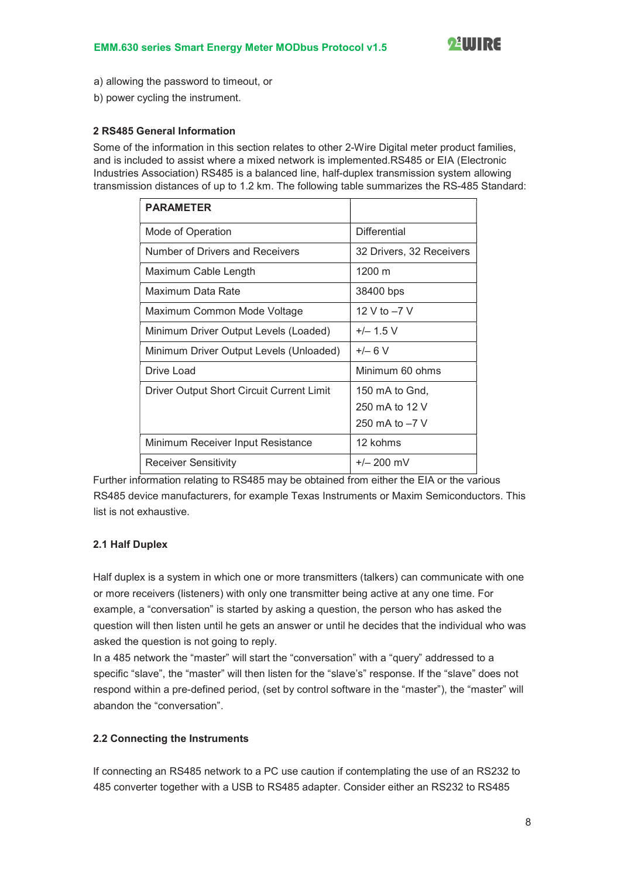- a) allowing the password to timeout, or
- b) power cycling the instrument.

#### 2 RS485 General Information

Some of the information in this section relates to other 2-Wire Digital meter product families, and is included to assist where a mixed network is implemented.RS485 or EIA (Electronic Industries Association) RS485 is a balanced line, half-duplex transmission system allowing transmission distances of up to 1.2 km. The following table summarizes the RS-485 Standard:

| <b>PARAMETER</b>                          |                          |
|-------------------------------------------|--------------------------|
| Mode of Operation                         | <b>Differential</b>      |
| Number of Drivers and Receivers           | 32 Drivers, 32 Receivers |
| Maximum Cable Length                      | 1200 m                   |
| Maximum Data Rate                         | 38400 bps                |
| Maximum Common Mode Voltage               | 12 V to -7 V             |
| Minimum Driver Output Levels (Loaded)     | $+/- 1.5 V$              |
| Minimum Driver Output Levels (Unloaded)   | $+/- 6 V$                |
| Drive Load                                | Minimum 60 ohms          |
| Driver Output Short Circuit Current Limit | 150 mA to Gnd,           |
|                                           | 250 mA to 12 V           |
|                                           | 250 mA to $-7$ V         |
| Minimum Receiver Input Resistance         | 12 kohms                 |
| Receiver Sensitivity                      | $+/- 200$ mV             |

Further information relating to RS485 may be obtained from either the EIA or the various RS485 device manufacturers, for example Texas Instruments or Maxim Semiconductors. This list is not exhaustive.

#### 2.1 Half Duplex

Half duplex is a system in which one or more transmitters (talkers) can communicate with one or more receivers (listeners) with only one transmitter being active at any one time. For example, a "conversation" is started by asking a question, the person who has asked the question will then listen until he gets an answer or until he decides that the individual who was asked the question is not going to reply.

In a 485 network the "master" will start the "conversation" with a "query" addressed to a specific "slave", the "master" will then listen for the "slave's" response. If the "slave" does not respond within a pre-defined period, (set by control software in the "master"), the "master" will abandon the "conversation".

#### 2.2 Connecting the Instruments

If connecting an RS485 network to a PC use caution if contemplating the use of an RS232 to 485 converter together with a USB to RS485 adapter. Consider either an RS232 to RS485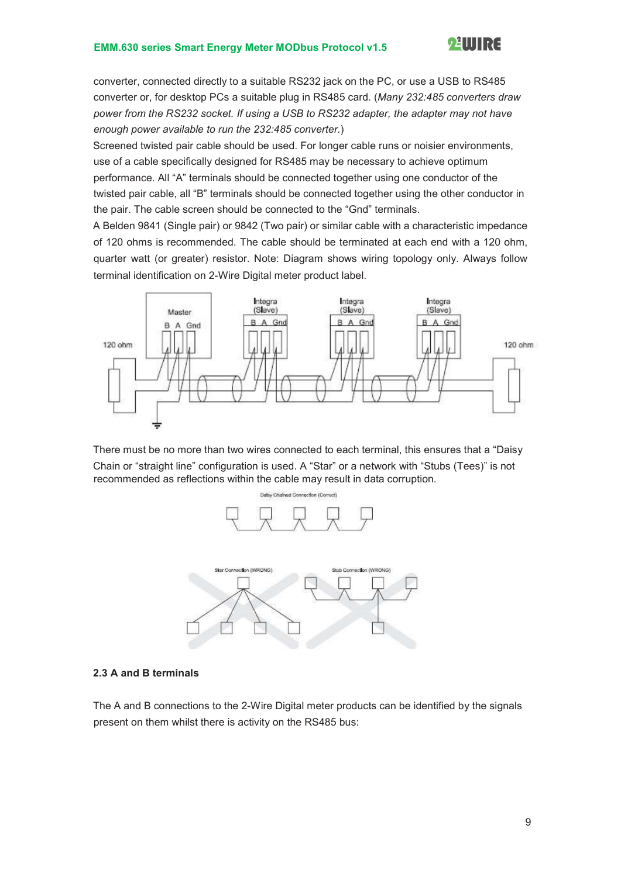

converter, connected directly to a suitable RS232 jack on the PC, or use a USB to RS485 converter or, for desktop PCs a suitable plug in RS485 card. (Many 232:485 converters draw power from the RS232 socket. If using a USB to RS232 adapter, the adapter may not have enough power available to run the 232:485 converter.)

Screened twisted pair cable should be used. For longer cable runs or noisier environments, use of a cable specifically designed for RS485 may be necessary to achieve optimum performance. All "A" terminals should be connected together using one conductor of the twisted pair cable, all "B" terminals should be connected together using the other conductor in the pair. The cable screen should be connected to the "Gnd" terminals.

A Belden 9841 (Single pair) or 9842 (Two pair) or similar cable with a characteristic impedance of 120 ohms is recommended. The cable should be terminated at each end with a 120 ohm, quarter watt (or greater) resistor. Note: Diagram shows wiring topology only. Always follow terminal identification on 2-Wire Digital meter product label.



There must be no more than two wires connected to each terminal, this ensures that a "Daisy Chain or "straight line" configuration is used. A "Star" or a network with "Stubs (Tees)" is not recommended as reflections within the cable may result in data corruption.



#### 2.3 A and B terminals

The A and B connections to the 2-Wire Digital meter products can be identified by the signals present on them whilst there is activity on the RS485 bus: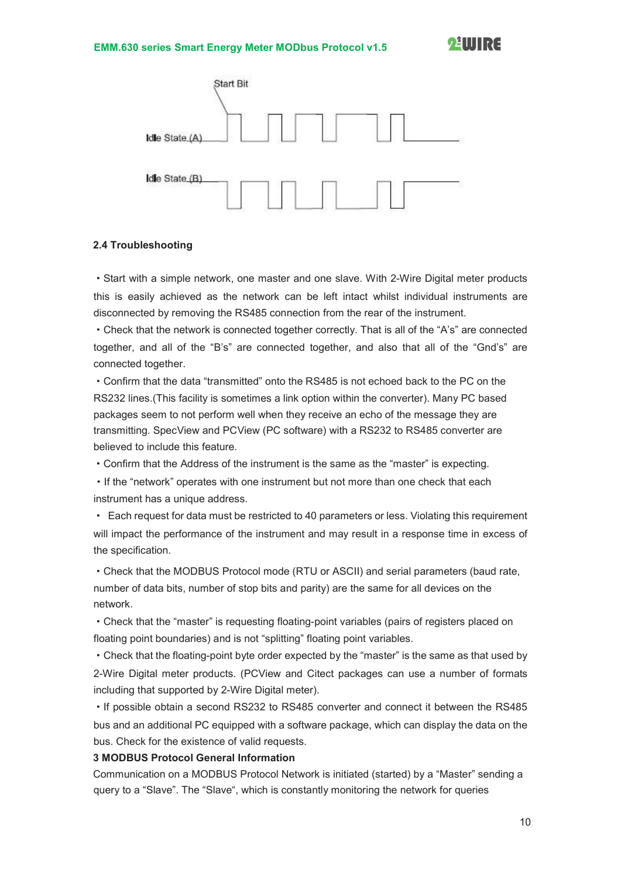

#### 2.4 Troubleshooting

·Start with a simple network, one master and one slave. With 2-Wire Digital meter products this is easily achieved as the network can be left intact whilst individual instruments are disconnected by removing the RS485 connection from the rear of the instrument.

·Check that the network is connected together correctly. That is all of the "A's" are connected together, and all of the "B's" are connected together, and also that all of the "Gnd's" are connected together.

·Confirm that the data "transmitted" onto the RS485 is not echoed back to the PC on the RS232 lines.(This facility is sometimes a link option within the converter). Many PC based packages seem to not perform well when they receive an echo of the message they are transmitting. SpecView and PCView (PC software) with a RS232 to RS485 converter are believed to include this feature.

·Confirm that the Address of the instrument is the same as the "master" is expecting.

·If the "network" operates with one instrument but not more than one check that each instrument has a unique address.

· Each request for data must be restricted to 40 parameters or less. Violating this requirement will impact the performance of the instrument and may result in a response time in excess of the specification.

·Check that the MODBUS Protocol mode (RTU or ASCII) and serial parameters (baud rate, number of data bits, number of stop bits and parity) are the same for all devices on the network.

·Check that the "master" is requesting floating-point variables (pairs of registers placed on floating point boundaries) and is not "splitting" floating point variables.

·Check that the floating-point byte order expected by the "master" is the same as that used by 2-Wire Digital meter products. (PCView and Citect packages can use a number of formats including that supported by 2-Wire Digital meter).

·If possible obtain a second RS232 to RS485 converter and connect it between the RS485 bus and an additional PC equipped with a software package, which can display the data on the bus. Check for the existence of valid requests.

#### 3 MODBUS Protocol General Information

Communication on a MODBUS Protocol Network is initiated (started) by a "Master" sending a query to a "Slave". The "Slave", which is constantly monitoring the network for queries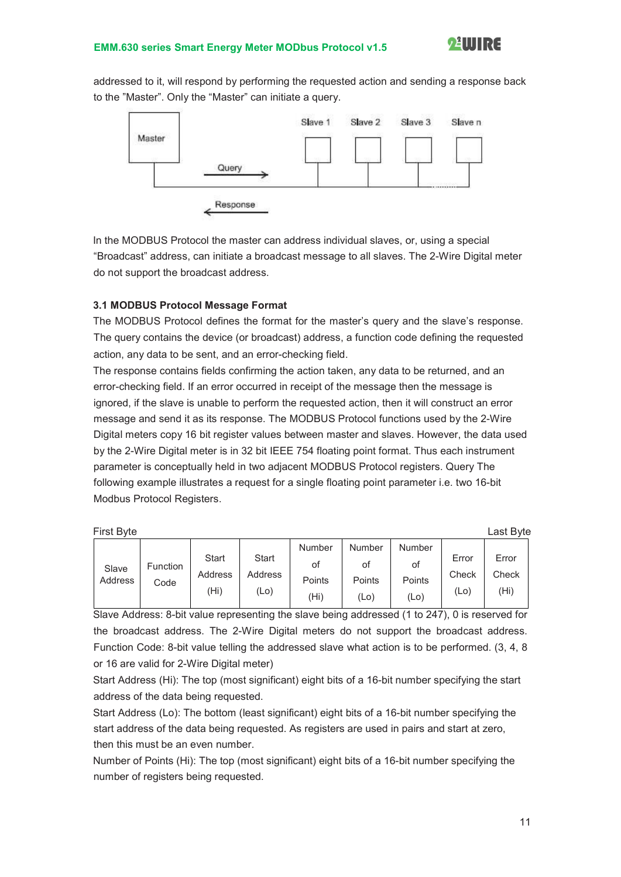

addressed to it, will respond by performing the requested action and sending a response back to the "Master". Only the "Master" can initiate a query.



In the MODBUS Protocol the master can address individual slaves, or, using a special "Broadcast" address, can initiate a broadcast message to all slaves. The 2-Wire Digital meter do not support the broadcast address.

#### 3.1 MODBUS Protocol Message Format

The MODBUS Protocol defines the format for the master's query and the slave's response. The query contains the device (or broadcast) address, a function code defining the requested action, any data to be sent, and an error-checking field.

The response contains fields confirming the action taken, any data to be returned, and an error-checking field. If an error occurred in receipt of the message then the message is ignored, if the slave is unable to perform the requested action, then it will construct an error message and send it as its response. The MODBUS Protocol functions used by the 2-Wire Digital meters copy 16 bit register values between master and slaves. However, the data used by the 2-Wire Digital meter is in 32 bit IEEE 754 floating point format. Thus each instrument parameter is conceptually held in two adjacent MODBUS Protocol registers. Query The following example illustrates a request for a single floating point parameter i.e. two 16-bit Modbus Protocol Registers.

| First Byte       |                  |                          |                                 |                                |                                       |                                       |                           | Last Byte              |
|------------------|------------------|--------------------------|---------------------------------|--------------------------------|---------------------------------------|---------------------------------------|---------------------------|------------------------|
| Slave<br>Address | Function<br>Code | Start<br>Address<br>(Hi) | <b>Start</b><br>Address<br>(Lo) | Number<br>οt<br>Points<br>'Hi) | <b>Number</b><br>оt<br>Points<br>(Lo) | <b>Number</b><br>οt<br>Points<br>(Lo) | Error<br>Check<br>$(L_0)$ | Error<br>Check<br>(Hi) |

Slave Address: 8-bit value representing the slave being addressed (1 to 247), 0 is reserved for the broadcast address. The 2-Wire Digital meters do not support the broadcast address. Function Code: 8-bit value telling the addressed slave what action is to be performed. (3, 4, 8 or 16 are valid for 2-Wire Digital meter)

Start Address (Hi): The top (most significant) eight bits of a 16-bit number specifying the start address of the data being requested.

Start Address (Lo): The bottom (least significant) eight bits of a 16-bit number specifying the start address of the data being requested. As registers are used in pairs and start at zero, then this must be an even number.

Number of Points (Hi): The top (most significant) eight bits of a 16-bit number specifying the number of registers being requested.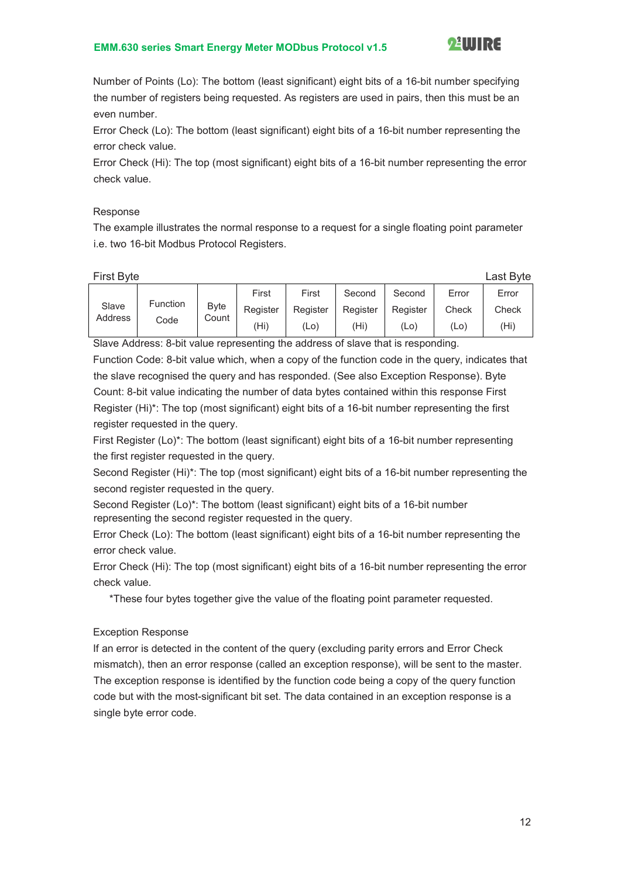

Number of Points (Lo): The bottom (least significant) eight bits of a 16-bit number specifying the number of registers being requested. As registers are used in pairs, then this must be an even number.

Error Check (Lo): The bottom (least significant) eight bits of a 16-bit number representing the error check value.

Error Check (Hi): The top (most significant) eight bits of a 16-bit number representing the error check value.

#### Response

The example illustrates the normal response to a request for a single floating point parameter i.e. two 16-bit Modbus Protocol Registers.

|                         |          |          |          |                   |       | Last Byte         |
|-------------------------|----------|----------|----------|-------------------|-------|-------------------|
|                         | First    | First    | Second   | Second            | Error | Error             |
| <b>Byte</b>             | Register | Register | Register | Register          | Check | Check             |
|                         | (Hi)     | (Lo)     | (Hi      | (L <sub>O</sub> ) | (Lo)  | (H <sub>i</sub> ) |
| <b>Function</b><br>Code | Count    |          |          | <b>First Byte</b> |       |                   |

Slave Address: 8-bit value representing the address of slave that is responding.

Function Code: 8-bit value which, when a copy of the function code in the query, indicates that the slave recognised the query and has responded. (See also Exception Response). Byte Count: 8-bit value indicating the number of data bytes contained within this response First Register (Hi)\*: The top (most significant) eight bits of a 16-bit number representing the first register requested in the query.

First Register (Lo)\*: The bottom (least significant) eight bits of a 16-bit number representing the first register requested in the query.

Second Register (Hi)\*: The top (most significant) eight bits of a 16-bit number representing the second register requested in the query.

Second Register (Lo)\*: The bottom (least significant) eight bits of a 16-bit number representing the second register requested in the query.

Error Check (Lo): The bottom (least significant) eight bits of a 16-bit number representing the error check value.

Error Check (Hi): The top (most significant) eight bits of a 16-bit number representing the error check value.

\*These four bytes together give the value of the floating point parameter requested.

#### Exception Response

If an error is detected in the content of the query (excluding parity errors and Error Check mismatch), then an error response (called an exception response), will be sent to the master. The exception response is identified by the function code being a copy of the query function code but with the most-significant bit set. The data contained in an exception response is a single byte error code.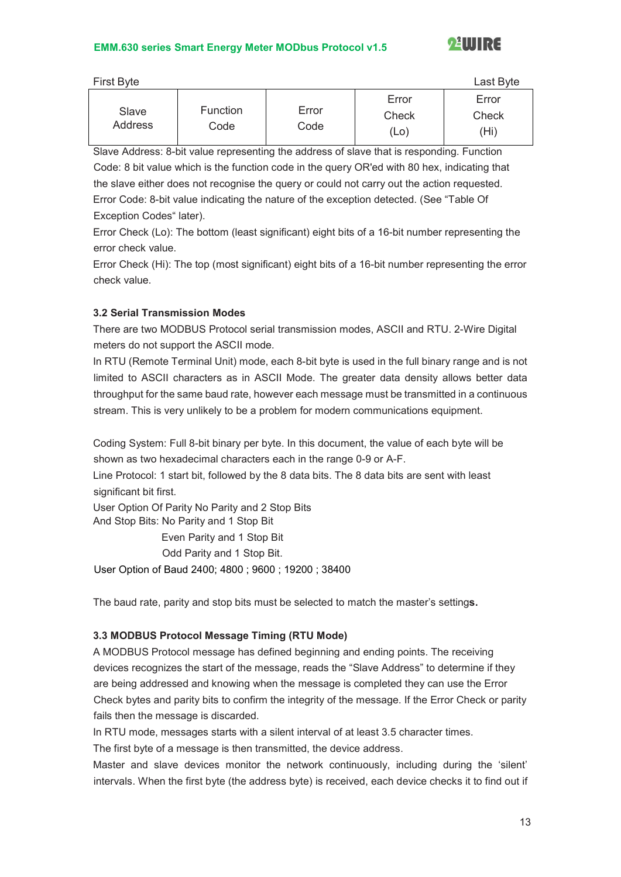

| First Byte       |                         |               |                        | Last Byte              |
|------------------|-------------------------|---------------|------------------------|------------------------|
| Slave<br>Address | <b>Function</b><br>Code | Error<br>Code | Error<br>Check<br>(Lo) | Error<br>Check<br>(Hi) |

Slave Address: 8-bit value representing the address of slave that is responding. Function Code: 8 bit value which is the function code in the query OR'ed with 80 hex, indicating that the slave either does not recognise the query or could not carry out the action requested. Error Code: 8-bit value indicating the nature of the exception detected. (See "Table Of Exception Codes" later).

Error Check (Lo): The bottom (least significant) eight bits of a 16-bit number representing the error check value.

Error Check (Hi): The top (most significant) eight bits of a 16-bit number representing the error check value.

#### 3.2 Serial Transmission Modes

There are two MODBUS Protocol serial transmission modes, ASCII and RTU. 2-Wire Digital meters do not support the ASCII mode.

In RTU (Remote Terminal Unit) mode, each 8-bit byte is used in the full binary range and is not limited to ASCII characters as in ASCII Mode. The greater data density allows better data throughput for the same baud rate, however each message must be transmitted in a continuous stream. This is very unlikely to be a problem for modern communications equipment.

Coding System: Full 8-bit binary per byte. In this document, the value of each byte will be shown as two hexadecimal characters each in the range 0-9 or A-F.

Line Protocol: 1 start bit, followed by the 8 data bits. The 8 data bits are sent with least significant bit first.

User Option Of Parity No Parity and 2 Stop Bits And Stop Bits: No Parity and 1 Stop Bit

Even Parity and 1 Stop Bit

Odd Parity and 1 Stop Bit.

User Option of Baud 2400; 4800 ; 9600 ; 19200 ; 38400

The baud rate, parity and stop bits must be selected to match the master's settings.

#### 3.3 MODBUS Protocol Message Timing (RTU Mode)

A MODBUS Protocol message has defined beginning and ending points. The receiving devices recognizes the start of the message, reads the "Slave Address" to determine if they are being addressed and knowing when the message is completed they can use the Error Check bytes and parity bits to confirm the integrity of the message. If the Error Check or parity fails then the message is discarded.

In RTU mode, messages starts with a silent interval of at least 3.5 character times.

The first byte of a message is then transmitted, the device address.

Master and slave devices monitor the network continuously, including during the 'silent' intervals. When the first byte (the address byte) is received, each device checks it to find out if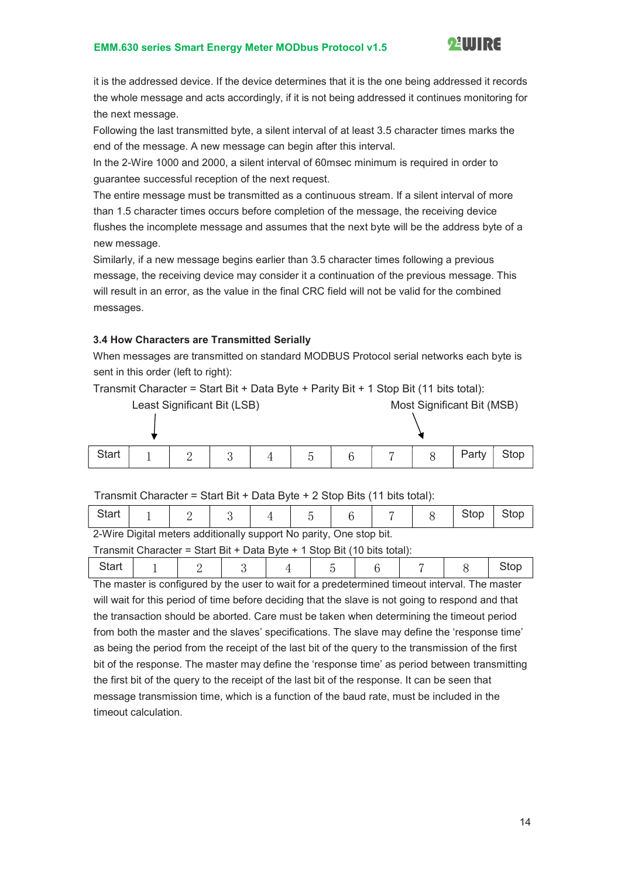

it is the addressed device. If the device determines that it is the one being addressed it records the whole message and acts accordingly, if it is not being addressed it continues monitoring for the next message.

Following the last transmitted byte, a silent interval of at least 3.5 character times marks the end of the message. A new message can begin after this interval.

In the 2-Wire 1000 and 2000, a silent interval of 60msec minimum is required in order to guarantee successful reception of the next request.

The entire message must be transmitted as a continuous stream. If a silent interval of more than 1.5 character times occurs before completion of the message, the receiving device flushes the incomplete message and assumes that the next byte will be the address byte of a new message.

Similarly, if a new message begins earlier than 3.5 character times following a previous message, the receiving device may consider it a continuation of the previous message. This will result in an error, as the value in the final CRC field will not be valid for the combined messages.

#### 3.4 How Characters are Transmitted Serially

When messages are transmitted on standard MODBUS Protocol serial networks each byte is sent in this order (left to right):

Transmit Character = Start Bit + Data Byte + Parity Bit + 1 Stop Bit (11 bits total):

| Least Significant Bit (LSB) |  |  |  |  |               | Most Significant Bit (MSB) |  |  |       |      |
|-----------------------------|--|--|--|--|---------------|----------------------------|--|--|-------|------|
|                             |  |  |  |  |               |                            |  |  |       |      |
| <b>Start</b>                |  |  |  |  | $\mathcal{D}$ |                            |  |  | Party | Stop |

#### Transmit Character = Start Bit + Data Byte + 2 Stop Bits (11 bits total):

| $\bigcap_{i=1}^{n} M_i U_{i}$ . $\bigcap_{i=1}^{n} M_i$ . If $\bigcup_{i=1}^{n} M_i U_{i}$ is a set $\bigcap_{i=1}^{n} M_i U_{i}$ . $\bigcap_{i=1}^{n} M_i U_{i}$ . If $M_i$ |  |  |  |  |  |  |  |  |  |
|------------------------------------------------------------------------------------------------------------------------------------------------------------------------------|--|--|--|--|--|--|--|--|--|

2-Wire Digital meters additionally support No parity, One stop bit.

Transmit Character = Start Bit + Data Byte + 1 Stop Bit (10 bits total):

| The meeter is configured by the user to wait for a prodotermined timeout interval. The meeter |  |  |  |  |  |  |  |  |
|-----------------------------------------------------------------------------------------------|--|--|--|--|--|--|--|--|

The master is configured by the user to wait for a predetermined timeout interval. The master will wait for this period of time before deciding that the slave is not going to respond and that the transaction should be aborted. Care must be taken when determining the timeout period from both the master and the slaves' specifications. The slave may define the 'response time' as being the period from the receipt of the last bit of the query to the transmission of the first bit of the response. The master may define the 'response time' as period between transmitting the first bit of the query to the receipt of the last bit of the response. It can be seen that message transmission time, which is a function of the baud rate, must be included in the timeout calculation.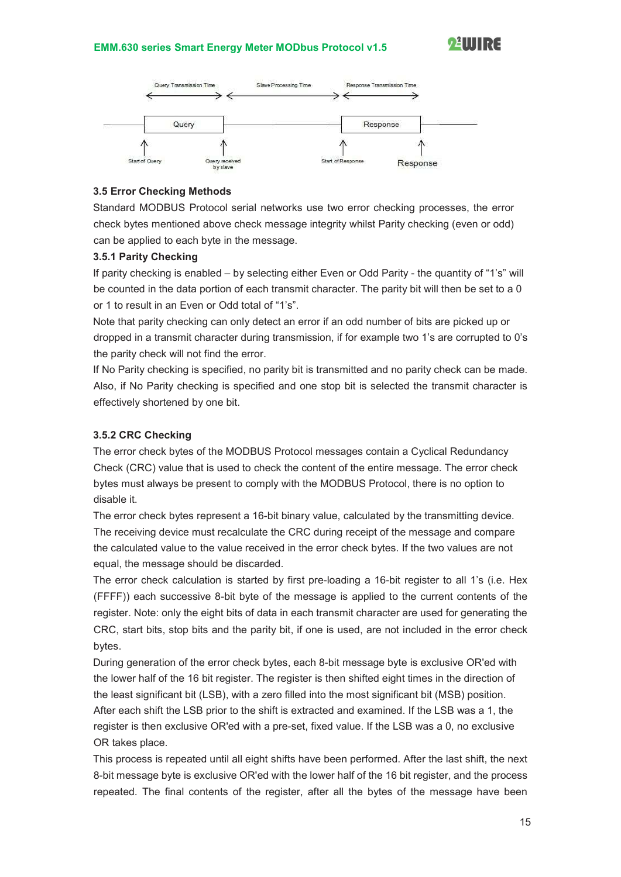

#### 3.5 Error Checking Methods

Standard MODBUS Protocol serial networks use two error checking processes, the error check bytes mentioned above check message integrity whilst Parity checking (even or odd) can be applied to each byte in the message.

#### 3.5.1 Parity Checking

If parity checking is enabled – by selecting either Even or Odd Parity - the quantity of "1's" will be counted in the data portion of each transmit character. The parity bit will then be set to a 0 or 1 to result in an Even or Odd total of "1's".

Note that parity checking can only detect an error if an odd number of bits are picked up or dropped in a transmit character during transmission, if for example two 1's are corrupted to 0's the parity check will not find the error.

If No Parity checking is specified, no parity bit is transmitted and no parity check can be made. Also, if No Parity checking is specified and one stop bit is selected the transmit character is effectively shortened by one bit.

#### 3.5.2 CRC Checking

The error check bytes of the MODBUS Protocol messages contain a Cyclical Redundancy Check (CRC) value that is used to check the content of the entire message. The error check bytes must always be present to comply with the MODBUS Protocol, there is no option to disable it.

The error check bytes represent a 16-bit binary value, calculated by the transmitting device. The receiving device must recalculate the CRC during receipt of the message and compare the calculated value to the value received in the error check bytes. If the two values are not equal, the message should be discarded.

The error check calculation is started by first pre-loading a 16-bit register to all 1's (i.e. Hex (FFFF)) each successive 8-bit byte of the message is applied to the current contents of the register. Note: only the eight bits of data in each transmit character are used for generating the CRC, start bits, stop bits and the parity bit, if one is used, are not included in the error check bytes.

During generation of the error check bytes, each 8-bit message byte is exclusive OR'ed with the lower half of the 16 bit register. The register is then shifted eight times in the direction of the least significant bit (LSB), with a zero filled into the most significant bit (MSB) position. After each shift the LSB prior to the shift is extracted and examined. If the LSB was a 1, the register is then exclusive OR'ed with a pre-set, fixed value. If the LSB was a 0, no exclusive OR takes place.

This process is repeated until all eight shifts have been performed. After the last shift, the next 8-bit message byte is exclusive OR'ed with the lower half of the 16 bit register, and the process repeated. The final contents of the register, after all the bytes of the message have been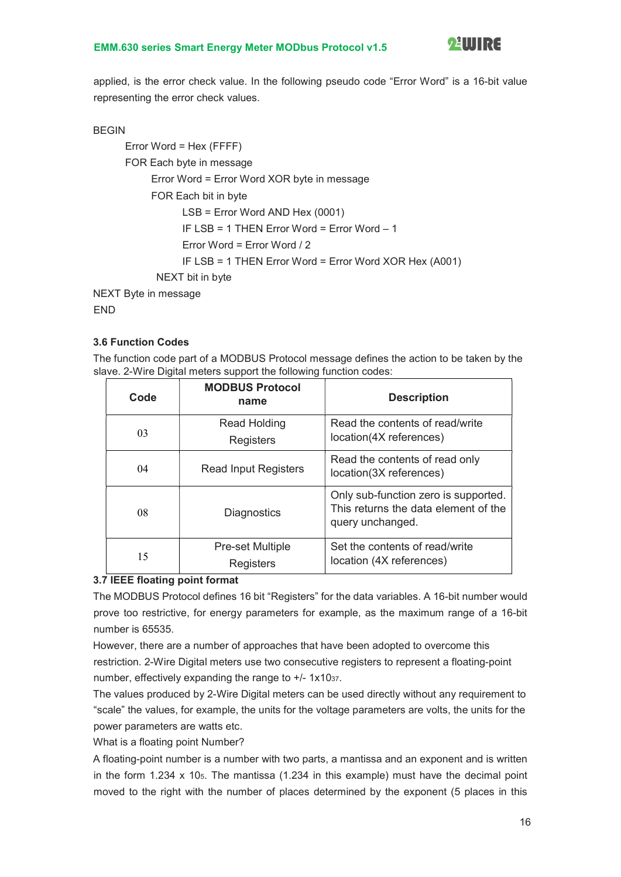

applied, is the error check value. In the following pseudo code "Error Word" is a 16-bit value representing the error check values.

#### BEGIN

```
Error Word = Hex (FFFF) 
      FOR Each byte in message 
           Error Word = Error Word XOR byte in message 
           FOR Each bit in byte 
                  LSB = Error Word AND Hex (0001) 
                  IF LSB = 1 THEN Error Word = Error Word – 1 
                  Error Word = Error Word / 2 
                  IF LSB = 1 THEN Error Word = Error Word XOR Hex (A001) 
            NEXT bit in byte 
NEXT Byte in message
```
END

#### 3.6 Function Codes

The function code part of a MODBUS Protocol message defines the action to be taken by the slave. 2-Wire Digital meters support the following function codes:

| Code | <b>MODBUS Protocol</b><br>name       | <b>Description</b>                                                                               |  |
|------|--------------------------------------|--------------------------------------------------------------------------------------------------|--|
| 03   | <b>Read Holding</b><br>Registers     | Read the contents of read/write<br>location(4X references)                                       |  |
| 04   | <b>Read Input Registers</b>          | Read the contents of read only<br>location(3X references)                                        |  |
| 08   | <b>Diagnostics</b>                   | Only sub-function zero is supported.<br>This returns the data element of the<br>query unchanged. |  |
| 15   | <b>Pre-set Multiple</b><br>Registers | Set the contents of read/write<br>location (4X references)                                       |  |

#### 3.7 IEEE floating point format

The MODBUS Protocol defines 16 bit "Registers" for the data variables. A 16-bit number would prove too restrictive, for energy parameters for example, as the maximum range of a 16-bit number is 65535.

However, there are a number of approaches that have been adopted to overcome this restriction. 2-Wire Digital meters use two consecutive registers to represent a floating-point number, effectively expanding the range to  $+/- 1x1037$ .

The values produced by 2-Wire Digital meters can be used directly without any requirement to "scale" the values, for example, the units for the voltage parameters are volts, the units for the power parameters are watts etc.

What is a floating point Number?

A floating-point number is a number with two parts, a mantissa and an exponent and is written in the form  $1.234 \times 10<sub>5</sub>$ . The mantissa  $(1.234 \text{ in this example})$  must have the decimal point moved to the right with the number of places determined by the exponent (5 places in this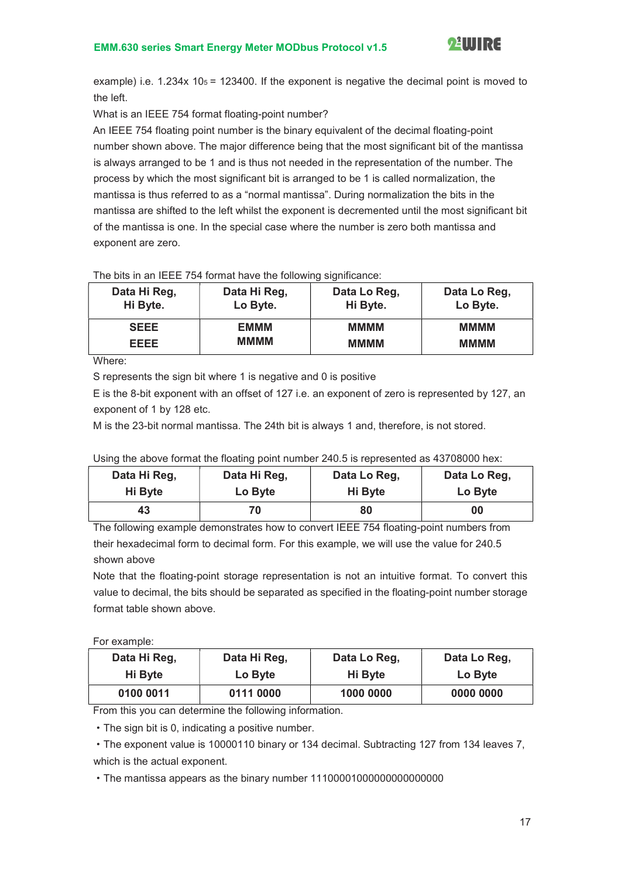

example) i.e.  $1.234x$  10 $5 = 123400$ . If the exponent is negative the decimal point is moved to the left.

What is an IEEE 754 format floating-point number?

An IEEE 754 floating point number is the binary equivalent of the decimal floating-point number shown above. The major difference being that the most significant bit of the mantissa is always arranged to be 1 and is thus not needed in the representation of the number. The process by which the most significant bit is arranged to be 1 is called normalization, the mantissa is thus referred to as a "normal mantissa". During normalization the bits in the mantissa are shifted to the left whilst the exponent is decremented until the most significant bit of the mantissa is one. In the special case where the number is zero both mantissa and exponent are zero.

#### The bits in an IEEE 754 format have the following significance:

| Data Hi Reg, | Data Hi Reg, | Data Lo Reg, | Data Lo Reg, |
|--------------|--------------|--------------|--------------|
| Hi Byte.     | Lo Byte.     | Hi Byte.     | Lo Byte.     |
| <b>SEEE</b>  | EMMM         | <b>MMMM</b>  | <b>MMMM</b>  |
| <b>EEEE</b>  | <b>MMMM</b>  | <b>MMMM</b>  | <b>MMMM</b>  |

Where:

S represents the sign bit where 1 is negative and 0 is positive

E is the 8-bit exponent with an offset of 127 i.e. an exponent of zero is represented by 127, an exponent of 1 by 128 etc.

M is the 23-bit normal mantissa. The 24th bit is always 1 and, therefore, is not stored.

|  |  |  | Using the above format the floating point number 240.5 is represented as 43708000 hex: |
|--|--|--|----------------------------------------------------------------------------------------|
|--|--|--|----------------------------------------------------------------------------------------|

| Data Hi Reg, | Data Hi Reg, | Data Lo Reg, | Data Lo Reg, |
|--------------|--------------|--------------|--------------|
| Hi Byte      | Lo Byte      | Hi Byte      | Lo Byte      |
| 43           | 70           | 80           | 00           |

The following example demonstrates how to convert IEEE 754 floating-point numbers from their hexadecimal form to decimal form. For this example, we will use the value for 240.5 shown above

Note that the floating-point storage representation is not an intuitive format. To convert this value to decimal, the bits should be separated as specified in the floating-point number storage format table shown above.

#### For example:

| Data Hi Reg, | Data Hi Reg. | Data Lo Reg. | Data Lo Reg. |
|--------------|--------------|--------------|--------------|
| Hi Byte      | Lo Byte      | Hi Byte      | Lo Byte      |
| 0100 0011    | 0111 0000    | 1000 0000    | 0000 0000    |

From this you can determine the following information.

·The sign bit is 0, indicating a positive number.

·The exponent value is 10000110 binary or 134 decimal. Subtracting 127 from 134 leaves 7, which is the actual exponent.

·The mantissa appears as the binary number 11100001000000000000000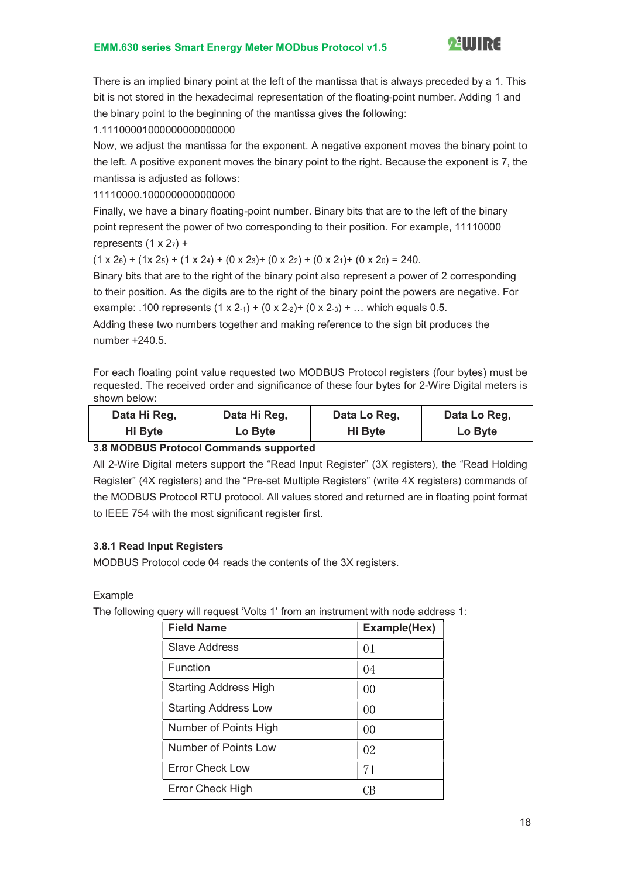

There is an implied binary point at the left of the mantissa that is always preceded by a 1. This bit is not stored in the hexadecimal representation of the floating-point number. Adding 1 and the binary point to the beginning of the mantissa gives the following:

1.11100001000000000000000

Now, we adjust the mantissa for the exponent. A negative exponent moves the binary point to the left. A positive exponent moves the binary point to the right. Because the exponent is 7, the mantissa is adjusted as follows:

11110000.1000000000000000

Finally, we have a binary floating-point number. Binary bits that are to the left of the binary point represent the power of two corresponding to their position. For example, 11110000 represents  $(1 \times 2_7)$  +

 $(1 \times 2_6) + (1 \times 2_5) + (1 \times 2_4) + (0 \times 2_3) + (0 \times 2_2) + (0 \times 2_1) + (0 \times 2_0) = 240.$ 

Binary bits that are to the right of the binary point also represent a power of 2 corresponding to their position. As the digits are to the right of the binary point the powers are negative. For example: .100 represents  $(1 \times 2.1) + (0 \times 2.2) + (0 \times 2.3) + ...$  which equals 0.5.

Adding these two numbers together and making reference to the sign bit produces the number  $+240.5$ .

For each floating point value requested two MODBUS Protocol registers (four bytes) must be requested. The received order and significance of these four bytes for 2-Wire Digital meters is shown below:

| Data Hi Reg, | Data Hi Reg, | Data Lo Reg. | Data Lo Reg. |
|--------------|--------------|--------------|--------------|
| Hi Byte      | Lo Byte      | Hi Byte      | Lo Byte      |
|              |              |              |              |

3.8 MODBUS Protocol Commands supported

All 2-Wire Digital meters support the "Read Input Register" (3X registers), the "Read Holding Register" (4X registers) and the "Pre-set Multiple Registers" (write 4X registers) commands of the MODBUS Protocol RTU protocol. All values stored and returned are in floating point format to IEEE 754 with the most significant register first.

#### 3.8.1 Read Input Registers

MODBUS Protocol code 04 reads the contents of the 3X registers.

Example

The following query will request 'Volts 1' from an instrument with node address 1:

| <b>Field Name</b>            | Example(Hex)   |
|------------------------------|----------------|
| <b>Slave Address</b>         | 01             |
| Function                     | 04             |
| <b>Starting Address High</b> | 00             |
| <b>Starting Address Low</b>  | 0 <sup>0</sup> |
| Number of Points High        | 0 <sup>0</sup> |
| Number of Points Low         | 02             |
| Error Check Low              | 71             |
| Error Check High             |                |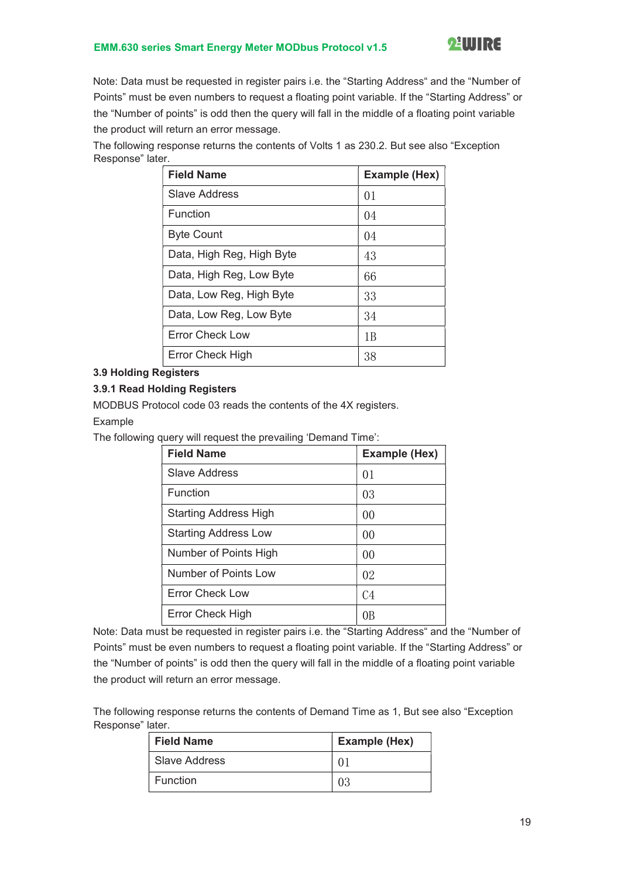

Note: Data must be requested in register pairs i.e. the "Starting Address" and the "Number of Points" must be even numbers to request a floating point variable. If the "Starting Address" or the "Number of points" is odd then the query will fall in the middle of a floating point variable the product will return an error message.

The following response returns the contents of Volts 1 as 230.2. But see also "Exception Response" later.

| <b>Field Name</b>         | <b>Example (Hex)</b> |
|---------------------------|----------------------|
| Slave Address             | 01                   |
| Function                  | 04                   |
| <b>Byte Count</b>         | 04                   |
| Data, High Reg, High Byte | 43                   |
| Data, High Reg, Low Byte  | 66                   |
| Data, Low Reg, High Byte  | 33                   |
| Data, Low Reg, Low Byte   | 34                   |
| <b>Error Check Low</b>    | 1 B                  |
| <b>Error Check High</b>   | 38                   |

#### 3.9 Holding Registers

#### 3.9.1 Read Holding Registers

MODBUS Protocol code 03 reads the contents of the 4X registers.

#### Example

The following query will request the prevailing 'Demand Time':

| <b>Field Name</b>            | Example (Hex)  |
|------------------------------|----------------|
| Slave Address                | 01             |
| Function                     | 03             |
| <b>Starting Address High</b> | 0 <sup>0</sup> |
| <b>Starting Address Low</b>  | 0 <sup>0</sup> |
| Number of Points High        | 0 <sup>0</sup> |
| Number of Points Low         | 02             |
| <b>Error Check Low</b>       | C <sub>4</sub> |
| Error Check High             |                |

Note: Data must be requested in register pairs i.e. the "Starting Address" and the "Number of Points" must be even numbers to request a floating point variable. If the "Starting Address" or the "Number of points" is odd then the query will fall in the middle of a floating point variable the product will return an error message.

The following response returns the contents of Demand Time as 1, But see also "Exception Response" later.

| <b>Field Name</b> | <b>Example (Hex)</b> |
|-------------------|----------------------|
| Slave Address     |                      |
| <b>Function</b>   |                      |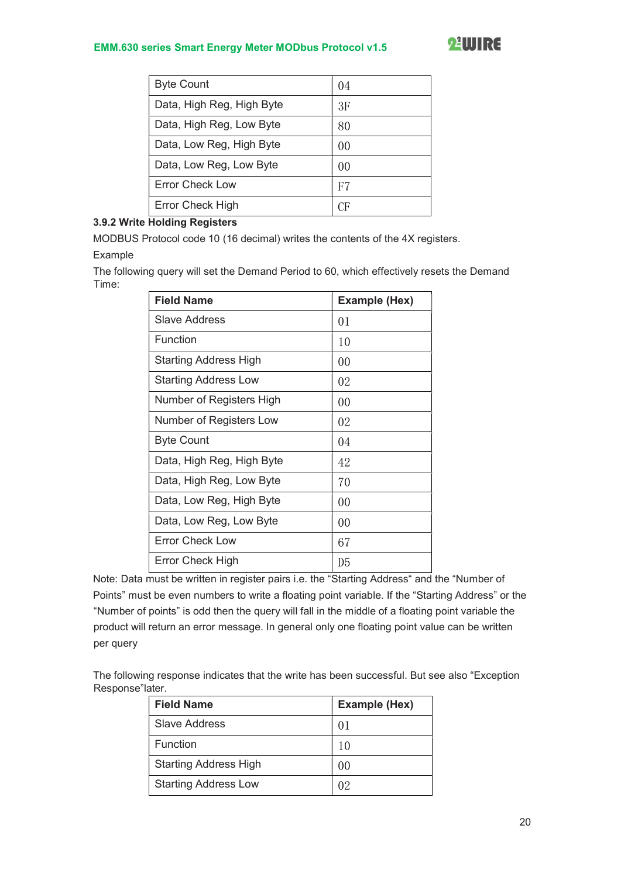| <b>Byte Count</b>         | (1)4 |
|---------------------------|------|
| Data, High Reg, High Byte | 3F   |
| Data, High Reg, Low Byte  | 80   |
| Data, Low Reg, High Byte  | 00   |
| Data, Low Reg, Low Byte   | 00   |
| Error Check Low           | F7   |
| <b>Error Check High</b>   | СF   |

#### 3.9.2 Write Holding Registers

MODBUS Protocol code 10 (16 decimal) writes the contents of the 4X registers. Example

The following query will set the Demand Period to 60, which effectively resets the Demand Time:

| <b>Field Name</b>            | <b>Example (Hex)</b> |
|------------------------------|----------------------|
| Slave Address                | 01                   |
| Function                     | 10                   |
| <b>Starting Address High</b> | 00                   |
| <b>Starting Address Low</b>  | 02                   |
| Number of Registers High     | 00                   |
| Number of Registers Low      | 02                   |
| <b>Byte Count</b>            | 04                   |
| Data, High Reg, High Byte    | 42                   |
| Data, High Reg, Low Byte     | 70                   |
| Data, Low Reg, High Byte     | 00                   |
| Data, Low Reg, Low Byte      | 00                   |
| <b>Error Check Low</b>       | 67                   |
| Error Check High             | D5                   |

Note: Data must be written in register pairs i.e. the "Starting Address" and the "Number of Points" must be even numbers to write a floating point variable. If the "Starting Address" or the "Number of points" is odd then the query will fall in the middle of a floating point variable the product will return an error message. In general only one floating point value can be written per query

The following response indicates that the write has been successful. But see also "Exception Response"later.

| <b>Field Name</b>            | Example (Hex) |
|------------------------------|---------------|
| Slave Address                |               |
| Function                     | 10            |
| <b>Starting Address High</b> | ()()          |
| <b>Starting Address Low</b>  | ()            |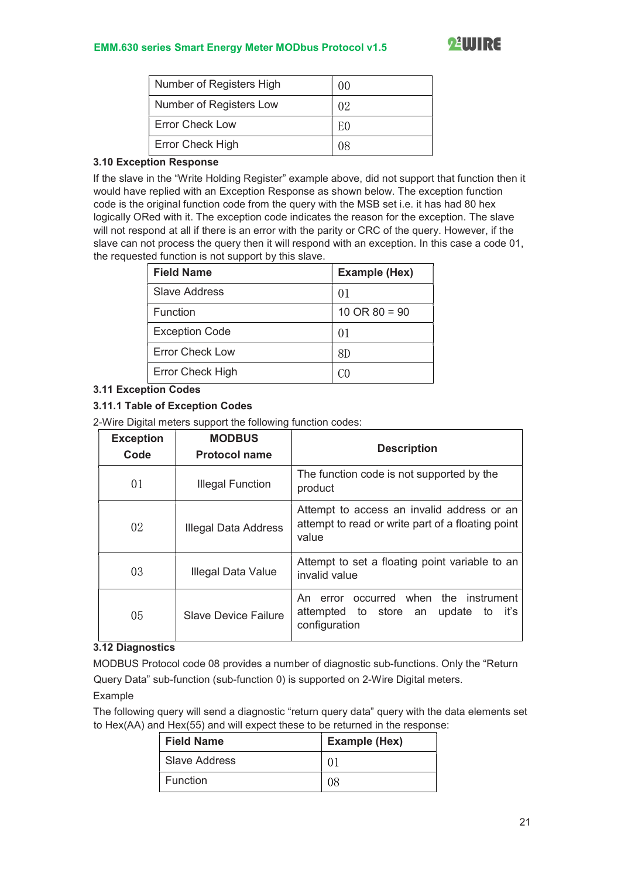| Number of Registers High | ()() |
|--------------------------|------|
| Number of Registers Low  | 02   |
| <b>Error Check Low</b>   | ЕC   |
| Error Check High         |      |

#### 3.10 Exception Response

If the slave in the "Write Holding Register" example above, did not support that function then it would have replied with an Exception Response as shown below. The exception function code is the original function code from the query with the MSB set i.e. it has had 80 hex logically ORed with it. The exception code indicates the reason for the exception. The slave will not respond at all if there is an error with the parity or CRC of the query. However, if the slave can not process the query then it will respond with an exception. In this case a code 01, the requested function is not support by this slave.

| <b>Field Name</b>      | <b>Example (Hex)</b>     |
|------------------------|--------------------------|
| <b>Slave Address</b>   | ()                       |
| Function               | $10 \text{ OR } 80 = 90$ |
| <b>Exception Code</b>  | ()                       |
| <b>Error Check Low</b> | 8D                       |
| Error Check High       |                          |

#### 3.11 Exception Codes

#### 3.11.1 Table of Exception Codes

2-Wire Digital meters support the following function codes:

| <b>Exception</b><br>Code | <b>MODBUS</b><br><b>Protocol name</b> | <b>Description</b>                                                                                       |
|--------------------------|---------------------------------------|----------------------------------------------------------------------------------------------------------|
| 01                       | Illegal Function                      | The function code is not supported by the<br>product                                                     |
| 02                       | Illegal Data Address                  | Attempt to access an invalid address or an<br>attempt to read or write part of a floating point<br>value |
| 03                       | Illegal Data Value                    | Attempt to set a floating point variable to an<br>invalid value                                          |
| 05                       | <b>Slave Device Failure</b>           | error occurred when the instrument<br>An<br>attempted to store an<br>update to it's<br>configuration     |

#### 3.12 Diagnostics

MODBUS Protocol code 08 provides a number of diagnostic sub-functions. Only the "Return Query Data" sub-function (sub-function 0) is supported on 2-Wire Digital meters.

#### Example

The following query will send a diagnostic "return query data" query with the data elements set to Hex(AA) and Hex(55) and will expect these to be returned in the response:

| <b>Field Name</b> | <b>Example (Hex)</b> |
|-------------------|----------------------|
| l Slave Address   | 0.                   |
| <b>Function</b>   | ገጾ                   |